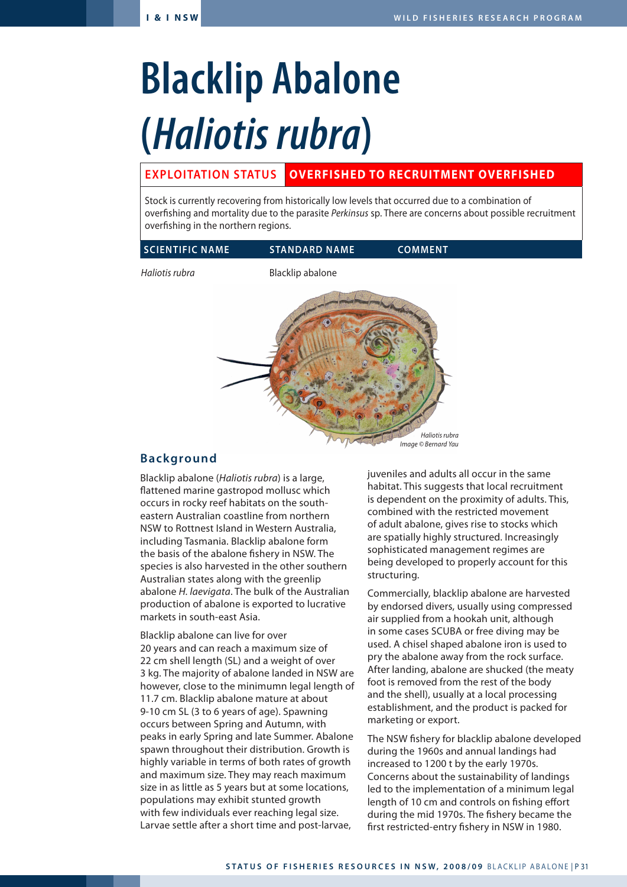# **Blacklip Abalone (***Haliotis rubra***)**

# **EXPLOITATION STATUS OVERFISHED TO RECRUITMENT OVERFISHED**

Stock is currently recovering from historically low levels that occurred due to a combination of overfishing and mortality due to the parasite *Perkinsus* sp. There are concerns about possible recruitment overfishing in the northern regions.

| <b>SCIENTIFIC NAME</b> | <b>STANDARD NAME</b> | <b>'COMMENT</b> |
|------------------------|----------------------|-----------------|

*Haliotis rubra* Blacklip abalone



## **Background**

Blacklip abalone (*Haliotis rubra*) is a large, flattened marine gastropod mollusc which occurs in rocky reef habitats on the southeastern Australian coastline from northern NSW to Rottnest Island in Western Australia, including Tasmania. Blacklip abalone form the basis of the abalone fishery in NSW. The species is also harvested in the other southern Australian states along with the greenlip abalone *H. laevigata*. The bulk of the Australian production of abalone is exported to lucrative markets in south-east Asia.

Blacklip abalone can live for over 20 years and can reach a maximum size of 22 cm shell length (SL) and a weight of over 3 kg. The majority of abalone landed in NSW are however, close to the minimumn legal length of 11.7 cm. Blacklip abalone mature at about 9-10 cm SL (3 to 6 years of age). Spawning occurs between Spring and Autumn, with peaks in early Spring and late Summer. Abalone spawn throughout their distribution. Growth is highly variable in terms of both rates of growth and maximum size. They may reach maximum size in as little as 5 years but at some locations, populations may exhibit stunted growth with few individuals ever reaching legal size. Larvae settle after a short time and post-larvae,

juveniles and adults all occur in the same habitat. This suggests that local recruitment is dependent on the proximity of adults. This, combined with the restricted movement of adult abalone, gives rise to stocks which are spatially highly structured. Increasingly sophisticated management regimes are being developed to properly account for this structuring.

Commercially, blacklip abalone are harvested by endorsed divers, usually using compressed air supplied from a hookah unit, although in some cases SCUBA or free diving may be used. A chisel shaped abalone iron is used to pry the abalone away from the rock surface. After landing, abalone are shucked (the meaty foot is removed from the rest of the body and the shell), usually at a local processing establishment, and the product is packed for marketing or export.

The NSW fishery for blacklip abalone developed during the 1960s and annual landings had increased to 1200 t by the early 1970s. Concerns about the sustainability of landings led to the implementation of a minimum legal length of 10 cm and controls on fishing effort during the mid 1970s. The fishery became the first restricted-entry fishery in NSW in 1980.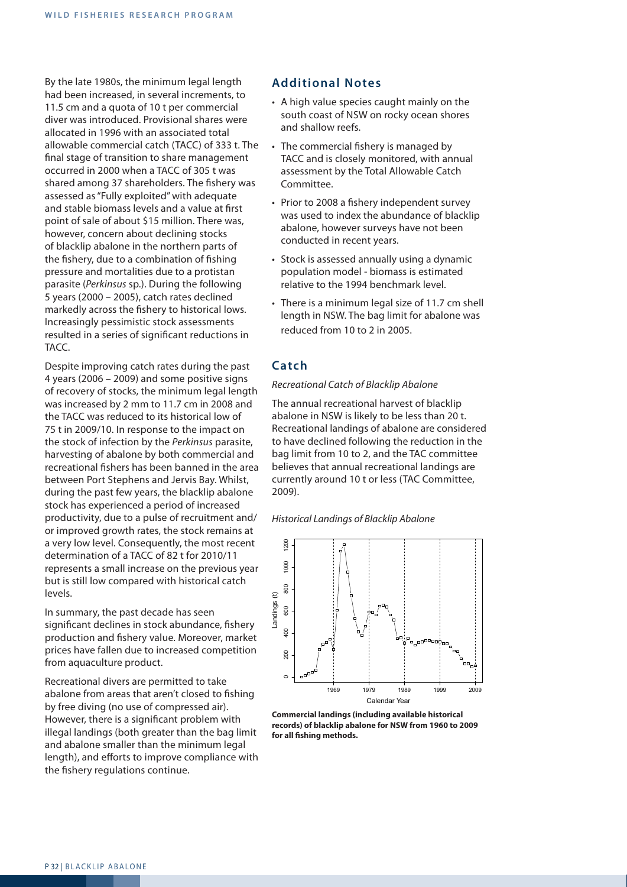By the late 1980s, the minimum legal length had been increased, in several increments, to 11.5 cm and a quota of 10 t per commercial diver was introduced. Provisional shares were allocated in 1996 with an associated total allowable commercial catch (TACC) of 333 t. The final stage of transition to share management occurred in 2000 when a TACC of 305 t was shared among 37 shareholders. The fishery was assessed as "Fully exploited" with adequate and stable biomass levels and a value at first point of sale of about \$15 million. There was, however, concern about declining stocks of blacklip abalone in the northern parts of the fishery, due to a combination of fishing pressure and mortalities due to a protistan parasite (*Perkinsus* sp.). During the following 5 years (2000 – 2005), catch rates declined markedly across the fishery to historical lows. Increasingly pessimistic stock assessments resulted in a series of significant reductions in TACC.

Despite improving catch rates during the past 4 years (2006 – 2009) and some positive signs of recovery of stocks, the minimum legal length was increased by 2 mm to 11.7 cm in 2008 and the TACC was reduced to its historical low of 75 t in 2009/10. In response to the impact on the stock of infection by the *Perkinsus* parasite, harvesting of abalone by both commercial and recreational fishers has been banned in the area between Port Stephens and Jervis Bay. Whilst, during the past few years, the blacklip abalone stock has experienced a period of increased productivity, due to a pulse of recruitment and/ or improved growth rates, the stock remains at a very low level. Consequently, the most recent determination of a TACC of 82 t for 2010/11 represents a small increase on the previous year but is still low compared with historical catch levels.

In summary, the past decade has seen significant declines in stock abundance, fishery production and fishery value. Moreover, market prices have fallen due to increased competition from aquaculture product.

Recreational divers are permitted to take abalone from areas that aren't closed to fishing by free diving (no use of compressed air). However, there is a significant problem with illegal landings (both greater than the bag limit and abalone smaller than the minimum legal length), and efforts to improve compliance with the fishery regulations continue.

### **Additional Notes**

- A high value species caught mainly on the south coast of NSW on rocky ocean shores and shallow reefs.
- The commercial fishery is managed by TACC and is closely monitored, with annual assessment by the Total Allowable Catch Committee.
- Prior to 2008 a fishery independent survey was used to index the abundance of blacklip abalone, however surveys have not been conducted in recent years.
- Stock is assessed annually using a dynamic population model - biomass is estimated relative to the 1994 benchmark level.
- There is a minimum legal size of 11.7 cm shell length in NSW. The bag limit for abalone was reduced from 10 to 2 in 2005.

## **Catch**

#### *Recreational Catch of Blacklip Abalone*

The annual recreational harvest of blacklip abalone in NSW is likely to be less than 20 t. Recreational landings of abalone are considered to have declined following the reduction in the bag limit from 10 to 2, and the TAC committee believes that annual recreational landings are currently around 10 t or less (TAC Committee, 2009).

*Historical Landings of Blacklip Abalone*



**Commercial landings (including available historical records) of blacklip abalone for NSW from 1960 to 2009 for all fishing methods.**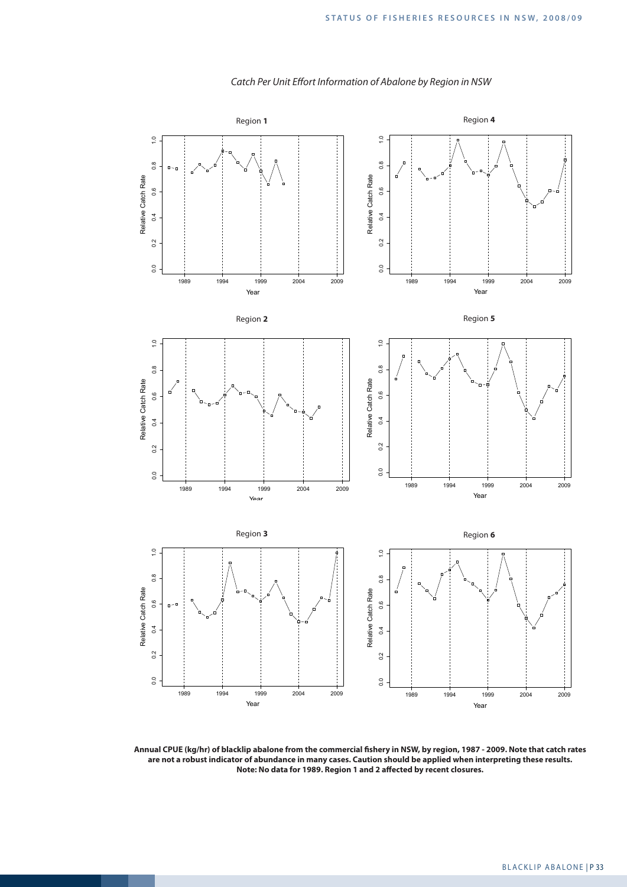

#### *Catch Per Unit Effort Information of Abalone by Region in NSW*

**Annual CPUE (kg/hr) of blacklip abalone from the commercial fishery in NSW, by region, 1987 - 2009. Note that catch rates are not a robust indicator of abundance in many cases. Caution should be applied when interpreting these results. Note: No data for 1989. Region 1 and 2 affected by recent closures.**